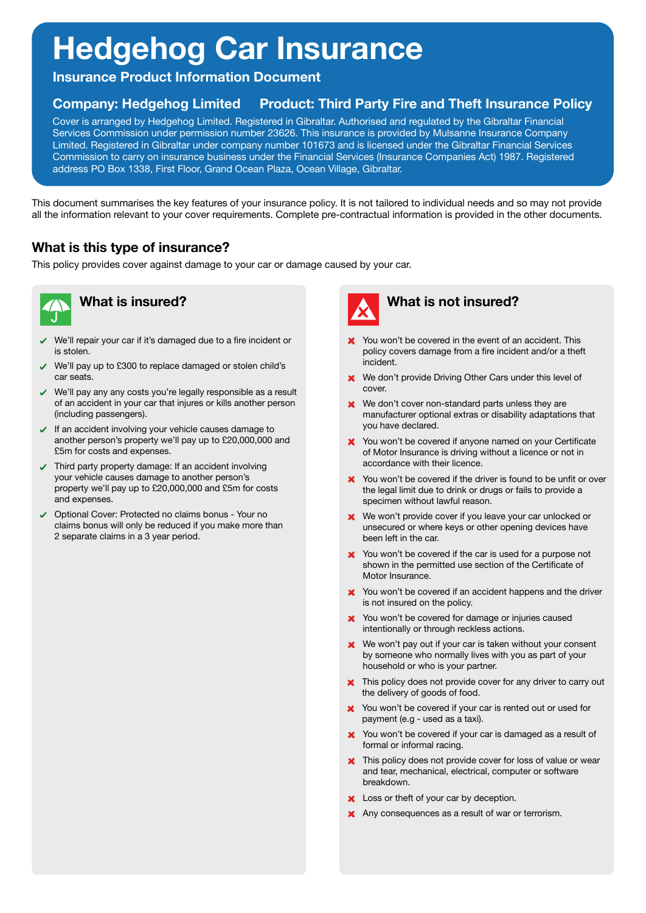# **Hedgehog Car Insurance**

#### **Insurance Product Information Document**

#### **Company: Hedgehog Limited Product: Third Party Fire and Theft Insurance Policy**

This document summarises the key features of your insurance policy. It is not tailored to individual needs and so may not provide all the information relevant to your cover requirements. Complete pre-contractual information is provided in the other documents.

## **What is this type of insurance?**

This policy provides cover against damage to your car or damage caused by your car.



- We'll repair your car if it's damaged due to a fire incident or  $\blacktriangledown$ is stolen.
- We'll pay up to £300 to replace damaged or stolen child's  $\blacktriangledown$ car seats.
- We'll pay any any costs you're legally responsible as a result  $\blacktriangledown$ of an accident in your car that injures or kills another person (including passengers).
- $\checkmark$  If an accident involving your vehicle causes damage to another person's property we'll pay up to £20,000,000 and £5m for costs and expenses.



# **What is insured? Whater is not insured?**

- X You won't be covered in the event of an accident. This policy covers damage from a fire incident and/or a theft incident.
- We don't provide Driving Other Cars under this level of  $\bm{x}$ cover.
- **X** We don't cover non-standard parts unless they are manufacturer optional extras or disability adaptations that you have declared.
- X You won't be covered if anyone named on your Certificate of Motor Insurance is driving without a licence or not in accordance with their licence.
- Third party property damage: If an accident involving your vehicle causes damage to another person's property we'll pay up to £20,000,000 and £5m for costs and expenses.
- Optional Cover: Protected no claims bonus Your no claims bonus will only be reduced if you make more than 2 separate claims in a 3 year period.
- X You won't be covered if the driver is found to be unfit or over the legal limit due to drink or drugs or fails to provide a specimen without lawful reason.
- We won't provide cover if you leave your car unlocked or  $\mathbf x$ unsecured or where keys or other opening devices have been left in the car.
- X You won't be covered if the car is used for a purpose not shown in the permitted use section of the Certificate of Motor Insurance.
- X You won't be covered if an accident happens and the driver is not insured on the policy.
- X You won't be covered for damage or injuries caused intentionally or through reckless actions.
- **X** We won't pay out if your car is taken without your consent by someone who normally lives with you as part of your household or who is your partner.
- **X** This policy does not provide cover for any driver to carry out the delivery of goods of food.
- X You won't be covered if your car is rented out or used for payment (e.g - used as a taxi).
- You won't be covered if your car is damaged as a result of formal or informal racing.
- This policy does not provide cover for loss of value or wear and tear, mechanical, electrical, computer or software breakdown.
- Loss or theft of your car by deception.
- Any consequences as a result of war or terrorism.

Cover is arranged by Hedgehog Limited. Registered in Gibraltar. Authorised and regulated by the Gibraltar Financial Services Commission under permission number 23626. This insurance is provided by Mulsanne Insurance Company Limited. Registered in Gibraltar under company number 101673 and is licensed under the Gibraltar Financial Services Commission to carry on insurance business under the Financial Services (Insurance Companies Act) 1987. Registered address PO Box 1338, First Floor, Grand Ocean Plaza, Ocean Village, Gibraltar.